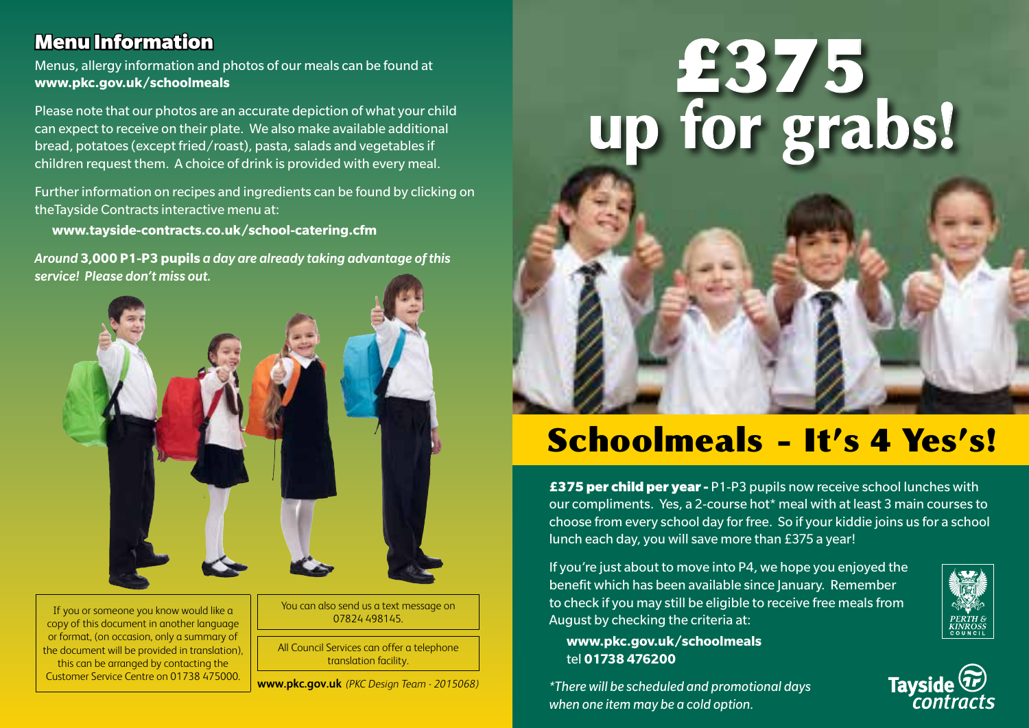#### Menu Information

Menus, allergy information and photos of our meals can be found at **www.pkc.gov.uk/schoolmeals**

Please note that our photos are an accurate depiction of what your child can expect to receive on their plate. We also make available additional bread, potatoes (except fried/roast), pasta, salads and vegetables if children request them. A choice of drink is provided with every meal.

Further information on recipes and ingredients can be found by clicking on theTayside Contracts interactive menu at:

**www.tayside-contracts.co.uk/school-catering.cfm**

*Around* **3,000 P1-P3 pupils** *a day are already taking advantage of this service! Please don't miss out.*



If you or someone you know would like a copy of this document in another language or format, (on occasion, only a summary of the document will be provided in translation), this can be arranged by contacting the Customer Service Centre on 01738 475000.

You can also send us a text message on 07824 498145.

All Council Services can offer a telephone translation facility.

**www.pkc.gov.uk** *(PKC Design Team - 2015068)*



# Schoolmeals - It's 4 Yes's!

**£375 per child per year -** P1-P3 pupils now receive school lunches with our compliments. Yes, a 2-course hot\* meal with at least 3 main courses to choose from every school day for free. So if your kiddie joins us for a school lunch each day, you will save more than £375 a year!

If you're just about to move into P4, we hope you enjoyed the benefit which has been available since January. Remember to check if you may still be eligible to receive free meals from August by checking the criteria at:



*\*There will be scheduled and promotional days when one item may be a cold option.*



Tayside<sup>(Tr)</sup>